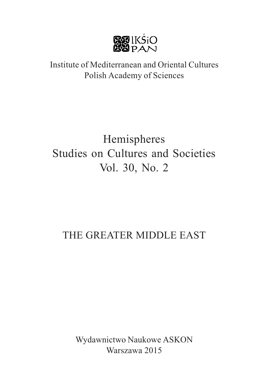

# Institute of Mediterranean and Oriental Cultures Polish Academy of Sciences

# Hemispheres Studies on Cultures and Societies Vol. 30, No. 2

# THE GREATER MIDDLE EAST

Wydawnictwo Naukowe ASKON Warszawa 2015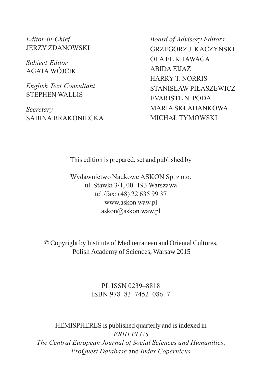Editor-in-Chief JERZY ZDANOWSKI

Subject Editor AGATA WÓJCIK

English Text Consultant STEPHEN WALLIS

Secretary SABINA BRAKONIECKA Board of Advisory Editors GRZEGORZ J. KACZYÑSKI OLA EL KHAWAGA ABIDA EIJAZ HARRY T. NORRIS STANIS£AW PI£ASZEWICZ EVARISTE N. PODA MARIA SK£ADANKOWA MICHA£ TYMOWSKI

This edition is prepared, set and published by

Wydawnictwo Naukowe ASKON Sp. z o.o. ul. Stawki 3/1, 00-193 Warszawa tel./fax: (48) 22 635 99 37 www.askon.waw.pl askon@askon.waw.pl

© Copyright by Institute of Mediterranean and Oriental Cultures, Polish Academy of Sciences, Warsaw 2015

> PL ISSN 0239-8818 ISBN 978-83-7452-086-7

HEMISPHERES is published quarterly and is indexed in ERIH PLUS The Central European Journal of Social Sciences and Humanities, ProQuest Database and Index Copernicus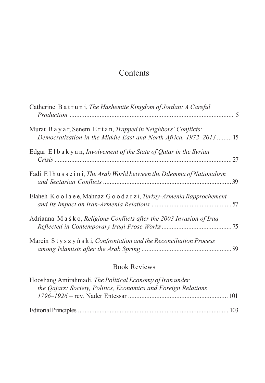# Contents

| Catherine B at r u n i, The Hashemite Kingdom of Jordan: A Careful                                                                      |  |
|-----------------------------------------------------------------------------------------------------------------------------------------|--|
| Murat B a y a r, Senem E r t a n, Trapped in Neighbors' Conflicts:<br>Democratization in the Middle East and North Africa, 1972–2013 15 |  |
| Edgar Elbakyan, Involvement of the State of Qatar in the Syrian                                                                         |  |
| Fadi Elhusseini, The Arab World between the Dilemma of Nationalism                                                                      |  |
| Elaheh K o o l a e e, Mahnaz G o o d a r z i, Turkey-Armenia Rapprochement                                                              |  |
| Adrianna M a s k o, Religious Conflicts after the 2003 Invasion of Iraq                                                                 |  |
| Marcin Styszynski, Confrontation and the Reconciliation Process                                                                         |  |

# Book Reviews

| Hooshang Amirahmadi, The Political Economy of Iran under       |  |
|----------------------------------------------------------------|--|
| the Qajars: Society, Politics, Economics and Foreign Relations |  |
|                                                                |  |
|                                                                |  |
|                                                                |  |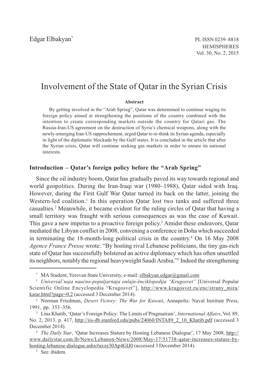## Involvement of the State of Qatar in the Syrian Crisis

#### Abstract

By getting involved in the "Arab Spring", Qatar was determined to continue waging its foreign policy aimed at strengthening the positions of the country combined with the intention to create corresponding markets outside the country for Qatari gas. The Russia-Iran-US agreement on the destruction of Syria's chemical weapons, along with the newly-emerging Iran-US rapprochement, urged Qatar to re-think its Syrian agenda, especially in light of the diplomatic blockade by the Gulf states. It is concluded in the article that after the Syrian crisis, Qatar will continue seeking gas markets in order to ensure its national interests.

## Introduction  $-\overline{\text{O} \text{atar's}}$  foreign policy before the "Arab Spring"

Since the oil industry boom, Qatar has gradually paved its way towards regional and world geopolitics. During the Iran-Iraqi war  $(1980-1988)$ , Oatar sided with Iraq. However, during the First Gulf War Qatar turned its back on the latter, joining the Western-led coalition.<sup>1</sup> In this operation Qatar lost two tanks and suffered three casualties.<sup>2</sup> Meanwhile, it became evident for the ruling circles of Qatar that having a small territory was fraught with serious consequences as was the case of Kuwait. This gave a new impetus to a proactive foreign policy.<sup>3</sup> Amidst these endeavors, Qatar mediated the Libyan conflict in 2008, convening a conference in Doha which succeeded in terminating the 18-month-long political crisis in the country.4 On 16 May 2008 Agence France Presse wrote: "By hosting rival Lebanese politicians, the tiny gas-rich state of Qatar has successfully bolstered an active diplomacy which has often unsettled its neighbors, notably the regional heavyweight Saudi Arabia."<sup>5</sup> Indeed the strengthening

MA Student, Yerevan State University, e-mail: elbakyan.edgar@gmail.com

<sup>&</sup>lt;sup>1</sup> Universal'naja naučno-populjarnaja onlajn-ènciklopedija "Krugosvet" [Universal Popular Scientific Online Encyclopedia "Krugosvet"], http://www.krugosvet.ru/enc/strany\_mira/ katar.html?page=0,2 (accessed 3 December 2014).

<sup>&</sup>lt;sup>2</sup> Norman Friedman, *Desert Victory: The War for Kuwait*, Annapolis: Naval Institute Press, 1991, pp. 353-356.

<sup>&</sup>lt;sup>3</sup> Lina Khatib, 'Qatar's Foreign Policy: The Limits of Pragmatism', *International Affairs*, Vol. 89, No. 2, 2013, p. 417, http://iis-db.stanford.edu/pubs/24060/INTA89\_2\_10\_Khatib.pdf (accessed 3 December 2014).

<sup>&</sup>lt;sup>4</sup> The Daily Star, 'Oatar Increases Stature by Hosting Lebanese Dialogue', 17 May 2008, http:// www.dailystar.com.lb/News/Lebanon-News/2008/May-17/51738-qatar-increases-stature-byhosting-lebanese-dialogue.ashx#axzz30Ap4GlJ0 (accessed 3 December 2014).

<sup>5</sup> See: ibidem.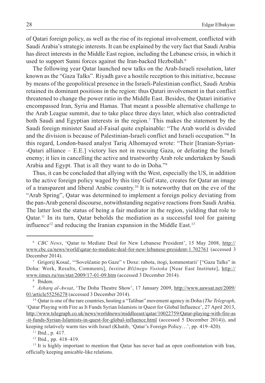of Qatari foreign policy, as well as the rise of its regional involvement, conflicted with Saudi Arabia's strategic interests. It can be explained by the very fact that Saudi Arabia has direct interests in the Middle East region, including the Lebanese crisis, in which it used to support Sunni forces against the Iran-backed Hezbollah.<sup>6</sup>

The following year Qatar launched new talks on the Arab-Israeli resolution, later known as the "Gaza Talks". Riyadh gave a hostile reception to this initiative, because by means of the geopolitical presence in the Israeli-Palestinian conflict, Saudi Arabia retained its dominant positions in the region: thus Qatari involvement in that conflict threatened to change the power ratio in the Middle East. Besides, the Qatari initiative encompassed Iran, Syria and Hamas. That meant a possible alternative challenge to the Arab League summit, due to take place three days later, which also contradicted both Saudi and Egyptian interests in the region.<sup>7</sup> This makes the statement by the Saudi foreign minister Saud al-Faisal quite explainable: "The Arab world is divided and the division is because of Palestinian-Israeli conflict and Israeli occupation."<sup>8</sup> In this regard, London-based analyst Tariq Alhomayed wrote: "Their [Iranian-Syrian--Qatari alliance E.E.] victory lies not in rescuing Gaza, or defeating the Israeli enemy; it lies in cancelling the active and trustworthy Arab role undertaken by Saudi Arabia and Egypt. That is all they want to do in Doha."<sup>9</sup>

Thus, it can be concluded that allying with the West, especially the US, in addition to the active foreign policy waged by this tiny Gulf state, creates for Qatar an image of a transparent and liberal Arabic country.10 It is noteworthy that on the eve of the "Arab Spring", Qatar was determined to implement a foreign policy deviating from the pan-Arab general discourse, notwithstanding negative reactions from Saudi Arabia. The latter lost the status of being a fair mediator in the region, yielding that role to Qatar.<sup>11</sup> In its turn, Qatar beholds the mediation as a successful tool for gaining influence<sup>12</sup> and reducing the Iranian expansion in the Middle East.<sup>13</sup>

<sup>6</sup> CBC News, Qatar to Mediate Deal for New Lebanese President, 15 May 2008, http:// www.cbc.ca/news/world/qatar-to-mediate-deal-for-new-lebanese-president-1.702761 (accessed 3 December 2014).

 $\frac{7}{1}$  Grigorij Kosač, "Soveščanie po Gaze" v Doxe: rabota, itogi, kommentarii ["Gaza Talks" in Doha: Work, Results, Comments], Institut Bližnego Vostoka [Near East Institute], http:// www.iimes.ru/rus/stat/2009/17-01-09.htm (accessed 3 December 2014).

<sup>8</sup> Ibidem.

<sup>&</sup>lt;sup>9</sup> Asharq al-Awsat, 'The Doha Theatre Show', 17 January 2009, http://www.aawsat.net/2009/ 01/article55256278 (accessed 3 December 2014).

<sup>&</sup>lt;sup>10</sup> Qatar is one of the rare countries, hosting a "Taliban" movement agency in Doha (*The Telegraph*, Qatar Playing with Fire as It Funds Syrian Islamists in Quest for Global Influence, 27 April 2013, http://www.telegraph.co.uk/news/worldnews/middleeast/qatar/10022759/Qatar-playing-with-fire-as -it-funds-Syrian-Islamists-in-quest-for-global-influence.html (accessed 5 December 2014)), and keeping relatively warm ties with Israel (Khatib, 'Qatar's Foreign Policy...', pp. 419–420).

 $11$  Ibid., p. 417.

 $12$  Ibid., pp. 418-419.

<sup>&</sup>lt;sup>13</sup> It is highly important to mention that Qatar has never had an open confrontation with Iran, officially keeping amicable-like relations.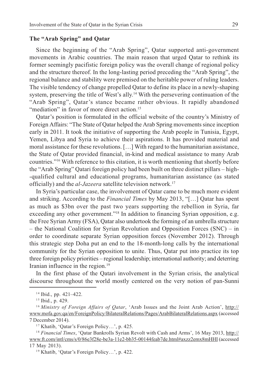## The "Arab Spring" and Oatar

Since the beginning of the "Arab Spring", Qatar supported anti-government movements in Arabic countries. The main reason that urged Qatar to rethink its former seemingly pacifistic foreign policy was the overall change of regional policy and the structure thereof. In the long-lasting period preceding the "Arab Spring", the regional balance and stability were premised on the heritable power of ruling leaders. The visible tendency of change propelled Qatar to define its place in a newly-shaping system, preserving the title of West's ally.<sup>14</sup> With the persevering continuation of the "Arab Spring", Qatar's stance became rather obvious. It rapidly abandoned "mediation" in favor of more direct action.<sup>15</sup>

Qatar's position is formulated in the official website of the country's Ministry of Foreign Affairs: "The State of Qatar helped the Arab Spring movements since inception early in 2011. It took the initiative of supporting the Arab people in Tunisia, Egypt, Yemen, Libya and Syria to achieve their aspirations. It has provided material and moral assistance for these revolutions. [...] With regard to the humanitarian assistance, the State of Qatar provided financial, in-kind and medical assistance to many Arab countries."<sup>16</sup> With reference to this citation, it is worth mentioning that shortly before the "Arab Spring" Qatari foreign policy had been built on three distinct pillars  $-$  high--qualified cultural and educational programs, humanitarian assistance (as stated officially) and the *al-Jazeera* satellite television network.<sup>17</sup>

In Syria's particular case, the involvement of Qatar came to be much more evident and striking. According to the Financial Times by May 2013, "[...] Qatar has spent as much as \$3bn over the past two years supporting the rebellion in Syria, far exceeding any other government."<sup>18</sup> In addition to financing Syrian opposition, e.g. the Free Syrian Army (FSA), Qatar also undertook the forming of an umbrella structure – the National Coalition for Syrian Revolution and Opposition Forces (SNC) – in order to coordinate separate Syrian opposition forces (November 2012). Through this strategic step Doha put an end to the 18-month-long calls by the international community for the Syrian opposition to unite. Thus, Qatar put into practice its top three foreign policy priorities – regional leadership; international authority; and deterring Iranian influence in the region.<sup>19</sup>

In the first phase of the Qatari involvement in the Syrian crisis, the analytical discourse throughout the world mostly centered on the very notion of pan-Sunni

 $14$  Ibid., pp. 421-422.

<sup>&</sup>lt;sup>15</sup> Ibid., p. 429.

<sup>&</sup>lt;sup>16</sup> Ministry of Foreign Affairs of Oatar, 'Arab Issues and the Joint Arab Action', http:// www.mofa.gov.qa/en/ForeignPolicy/BilateralRelations/Pages/ArabBilateralRelations.aspx (accessed 7 December 2014).

<sup>&</sup>lt;sup>17</sup> Khatib, 'Oatar's Foreign Policy...', p. 425.

<sup>&</sup>lt;sup>18</sup> Financial Times, 'Qatar Bankrolls Syrian Revolt with Cash and Arms', 16 May 2013, http:// www.ft.com/intl/cms/s/0/86e3f28e-be3a-11e2-bb35-00144feab7de.html#axzz2emx8mHHI (accessed 17 May 2013).

<sup>&</sup>lt;sup>19</sup> Khatib, 'Qatar's Foreign Policy...', p. 422.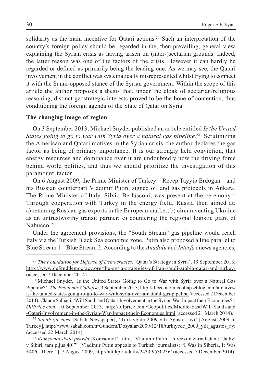solidarity as the main incentive for Oatari actions.<sup>20</sup> Such an interpretation of the country's foreign policy should be regarded in the, then-prevailing, general view explaining the Syrian crisis as having arisen on (inter-)sectarian grounds. Indeed, the latter reason was one of the factors of the crisis. However it can hardly be regarded or defined as primarily being the leading one. As we may see, the Qatari involvement in the conflict was systematically misrepresented whilst trying to connect it with the Sunni-opposed stance of the Syrian government. Within the scope of this article the author proposes a thesis that, under the cloak of sectarian/religious reasoning, distinct geostrategic interests proved to be the bone of contention, thus conditioning the foreign agenda of the State of Qatar on Syria.

## The changing image of region

On 3 September 2013, Michael Snyder published an article entitled Is the United States going to go to war with Syria over a natural gas pipeline?<sup>21</sup> Scrutinizing the American and Qatari motives in the Syrian crisis, the author declares the gas factor as being of primary importance. It is our strongly held conviction, that energy resources and dominance over it are undoubtedly now the driving force behind world politics, and thus we should prioritize the investigation of this paramount factor.

On 6 August 2009, the Prime Minister of Turkey – Recep Tayyip Erdoğan – and his Russian counterpart Vladimir Putin, signed oil and gas protocols in Ankara. The Prime Minister of Italy, Silvio Berlusconi, was present at the ceremony.<sup>22</sup> Through cooperation with Turkey in the energy field, Russia then aimed at: a) retaining Russian gas exports in the European market; b) circumventing Ukraine as an untrustworthy transit partner; c) countering the regional logistic giant of Nabucco. $23$ 

Under the agreement provisions, the "South Stream" gas pipeline would reach Italy via the Turkish Black Sea economic zone. Putin also proposed a line parallel to Blue Stream  $1 -$ Blue Stream 2. According to the *Anadolu* and *Interfax* news agencies,

<sup>20</sup> The Foundation for Defense of Democracies, 'Qatar's Strategy in Syria', 19 September 2013, http://www.defenddemocracy.org/the-syria-strategies-of-iran-saudi-arabia-qatar-and-turkey/ (accessed 7 December 2014).

 $2<sup>1</sup>$  Michael Snyder, 'Is the United States Going to Go to War with Syria over a Natural Gas Pipeline?, The Economic Collapse, 3 September 2013, http://theeconomiccollapseblog.com/archives/ is-the-united-states-going-to-go-to-war-with-syria-over-a-natural-gas-pipeline (accessed 7 December 2014); Claude Salhani, Will Saudi and Qatari Involvement in the Syrian War Impact their Economies?, OilPrice.com, 10 September 2013, http://oilprice.com/Geopolitics/Middle-East/Will-Saudi-and -Qatari-Involvement-in-the-Syrian-War-Impact-their-Economies.html (accessed 21 March 2014).

 $22$  Sabah gazetesi [Sabah Newspaper], 'Türkiye'de 2009 yılı Ağustos ayı' [August 2009 in Turkey], http://www.sabah.com.tr/Gundem/Dosyalar/2009/12/18/turkiyede\_2009\_yili\_agustos\_ayi (accessed 22 March 2014).

 $23$  Komsomol'skaja pravda [Komsomol Truth], 'Vladimir Putin – tureckim žurnalistam: "Ja byl v Sibiri, tam pljus 40!"' [Vladimir Putin appeals to Turkish journalists: "I Was in Siberia, It Was +40°C There!"], 7 August 2009, http://alt.kp.ru/daily/24339/530236/ (accessed 7 December 2014).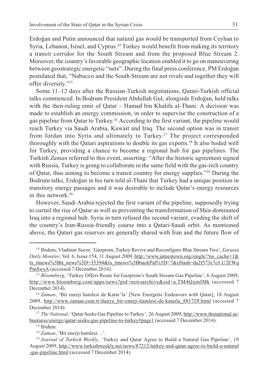Erdoðan and Putin announced that natural gas would be transported from Ceyhan to Syria, Lebanon, Israel, and Cyprus.<sup>24</sup> Turkey would benefit from making its territory a transit corridor for the South Stream and from the proposed Blue Stream 2. Moreover, the country's favorable geographic location enabled it to go on maneuvering between geostrategic energetic "nets". During the final press conference, PM Erdoğan postulated that, "Nabucco and the South Stream are not rivals and together they will offer diversity."25

Some  $11-12$  days after the Russian-Turkish negotiations, Qatari-Turkish official talks commenced. In Bodrum President Abdullah Gul, alongside Erdoğan, held talks with the then-ruling emir of Qatar - Hamad bin Khalifa al-Thani. A decision was made to establish an energy commission, in order to supervise the construction of a gas pipeline from Qatar to Turkey.26 According to the first variant, the pipeline would reach Turkey via Saudi Arabia, Kuwait and Iraq. The second option was in transit from Jordan into Syria and ultimately to Turkey.<sup>27</sup> The project corresponded thoroughly with the Qatari aspirations to double its gas exports.28 It also boded well for Turkey, providing a chance to become a regional hub for gas pipelines. The Turkish Zaman referred to this event, asserting: "After the historic agreement signed with Russia, Turkey is going to collaborate in the same field with the gas-rich country of Qatar, thus aiming to become a transit country for energy supplies.<sup>229</sup> During the Bodrum talks, Erdoğan in his turn told al-Thani that Turkey had a unique position in transitory energy passages and it was desirable to include Oatar's energy resources in this network.30

However, Saudi Arabia rejected the first variant of the pipeline, supposedly trying to curtail the rise of Qatar as well as preventing the transformation of Shia-dominated Iraq into a regional hub. Syria in turn refused the second variant, evading the shift of the countrys Iran-Russia-friendly course into a Qatari-Saudi orbit. As mentioned above, the Qatari gas reserves are generally shared with Iran and the future flow of

<sup>&</sup>lt;sup>24</sup> Ibidem; Vladimir Socor, 'Gazprom, Turkey Revive and Reconfigure Blue Stream Two', *Eurasia* Daily Monitor, Vol. 6, Issue 154, 11 August 2009, http://www.jamestown.org/single/?no\_cache=1& tx\_ttnews%5Btt\_news%5D=35394&tx\_ttnews%5BbackPid%5D=7&cHash=da2f573c7c#.U2EWq PmSwsA (accessed 7 December 2014).

<sup>&</sup>lt;sup>25</sup> Bloomberg, 'Turkey Offers Route for Gazprom's South Stream Gas Pipeline', 6 August 2009, http://www.bloomberg.com/apps/news?pid=newsarchive&sid=a.TM4QijmIMk (accessed 7 December 2014).

 $26$  Zaman, 'Bir enerji hamlesi de Katar'la' [New Energetic Endeavors with Qatar], 18 August 2009, http://www.zaman.com.tr/dunya\_bir-enerji-hamlesi-de-katarla\_881729.html (accessed 7 December 2014).

<sup>&</sup>lt;sup>27</sup> The National, 'Qatar Seeks Gas Pipeline to Turkey', 26 August 2009, http://www.thenational.ae/ business/energy/qatar-seeks-gas-pipeline-to-turkey#page1 (accessed 7 December 2014).

<sup>&</sup>lt;sup>28</sup> Ibidem.

 $29$  Zaman, 'Bir enerji hamlesi...'.

<sup>&</sup>lt;sup>30</sup> Journal of Turkish Weekly, 'Turkey and Qatar Agree to Build a Natural Gas Pipeline', 19 August 2009, http://www.turkishweekly.net/news/87212/turkey-and-qatar-agree-to-build-a-natural -gas-pipeline.html (accessed 7 December 2014).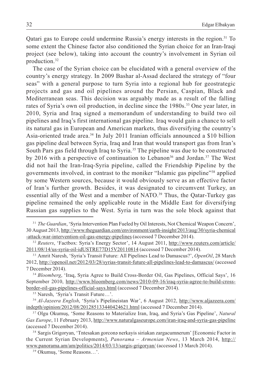Qatari gas to Europe could undermine Russia's energy interests in the region.<sup>31</sup> To some extent the Chinese factor also conditioned the Syrian choice for an Iran-Iraqi project (see below), taking into account the country's involvement in Syrian oil production.32

The case of the Syrian choice can be elucidated with a general overview of the country's energy strategy. In 2009 Bashar al-Assad declared the strategy of "four" seas" with a general purpose to turn Syria into a regional hub for geostrategic projects and gas and oil pipelines around the Persian, Caspian, Black and Mediterranean seas. This decision was arguably made as a result of the falling rates of Syria's own oil production, in decline since the 1980s.<sup>33</sup> One year later, in 2010, Syria and Iraq signed a memorandum of understanding to build two oil pipelines and Iraq's first international gas pipeline. Iraq would gain a chance to sell its natural gas in European and American markets, thus diversifying the countrys Asia-oriented trade area.34 In July 2011 Iranian officials announced a \$10 billion gas pipeline deal between Syria, Iraq and Iran that would transport gas from Iran's South Pars gas field through Iraq to Syria.35 The pipeline was due to be constructed by 2016 with a perspective of continuation to Lebanon<sup>36</sup> and Jordan.<sup>37</sup> The West did not hail the Iran-Iraq-Syria pipeline, called the Friendship Pipeline by the governments involved, in contrast to the moniker "Islamic gas pipeline"<sup>38</sup> applied by some Western sources, because it would obviously serve as an effective factor of Iran's further growth. Besides, it was designated to circumvent Turkey, an essential ally of the West and a member of NATO.<sup>39</sup> Thus, the Qatar-Turkey gas pipeline remained the only applicable route in the Middle East for diversifying Russian gas supplies to the West. Syria in turn was the sole block against that

<sup>&</sup>lt;sup>31</sup> The Guardian, 'Syria Intervention Plan Fueled by Oil Interests, Not Chemical Weapon Concern', 30 August 2013, http://www.theguardian.com/environment/earth-insight/2013/aug/30/syria-chemical -attack-war-intervention-oil-gas-energy-pipelines (accessed 7 December 2014).

<sup>&</sup>lt;sup>32</sup> Reuters, 'Factbox: Syria's Energy Sector', 14 August 2011, http://www.reuters.com/article/ 2011/08/14/us-syria-oil-idUSTRE77D15V20110814 (accessed 7 December 2014).

<sup>&</sup>lt;sup>33</sup> Amrit Naresh, 'Syria's Transit Future: All Pipelines Lead to Damascus?', OpenOil, 28 March 2012, http://openoil.net/2012/03/28/syrias-transit-future-all-pipelines-lead-to-damascus/ (accessed 7 December 2014).

<sup>&</sup>lt;sup>34</sup> Bloomberg, 'Iraq, Syria Agree to Build Cross-Border Oil, Gas Pipelines, Official Says', 16 September 2010, http://www.bloomberg.com/news/2010-09-16/iraq-syria-agree-to-build-crossborder-oil-gas-pipelines-official-says.html (accessed 7 December 2014).

<sup>&</sup>lt;sup>35</sup> Naresh, 'Syria's Transit Future...'.

<sup>&</sup>lt;sup>36</sup> Al-Jazeera English, 'Syria's Pipelineistan War', 6 August 2012, http://www.aljazeera.com/ indepth/opinion/2012/08/201285133440424621.html (accessed 7 December 2014).

<sup>&</sup>lt;sup>37</sup> Olgu Okumuş, 'Some Reasons to Materialize Iran, Iraq, and Syria's Gas Pipeline', Natural Gas Europe, 11 February 2013, http://www.naturalgaseurope.com/iran-iraq-and-syria-gas-pipeline (accessed 7 December 2014).

<sup>&</sup>lt;sup>38</sup> Sargis Grigoryan, 'Tntesakan gorcon nerkayis siriakan zargacumnerum' [Economic Factor in the Current Syrian Developments], *Panorama – Armenian News*, 13 March 2014, http:// www.panorama.am/am/politics/2014/03/13/sargis-grigoryan/ (accessed 13 March 2014).

<sup>&</sup>lt;sup>39</sup> Okumuş, 'Some Reasons...'.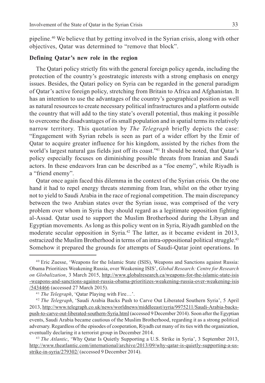pipeline.40 We believe that by getting involved in the Syrian crisis, along with other objectives, Oatar was determined to "remove that block".

### Defining Qatar's new role in the region

The Qatari policy strictly fits with the general foreign policy agenda, including the protection of the countrys geostrategic interests with a strong emphasis on energy issues. Besides, the Qatari policy on Syria can be regarded in the general paradigm of Qatar's active foreign policy, stretching from Britain to Africa and Afghanistan. It has an intention to use the advantages of the country's geographical position as well as natural resources to create necessary political infrastructures and a platform outside the country that will add to the tiny state's overall potential, thus making it possible to overcome the disadvantages of its small population and in spatial terms its relatively narrow territory. This quotation by *The Telegraph* briefly depicts the case: Engagement with Syrian rebels is seen as part of a wider effort by the Emir of Qatar to acquire greater influence for his kingdom, assisted by the riches from the world's largest natural gas fields just off its coast."<sup>41</sup> It should be noted, that Qatar's policy especially focuses on diminishing possible threats from Iranian and Saudi actors. In these endeavors Iran can be described as a "foe enemy", while Riyadh is a "friend enemy".

Qatar once again faced this dilemma in the context of the Syrian crisis. On the one hand it had to repel energy threats stemming from Iran, whilst on the other trying not to yield to Saudi Arabia in the race of regional competition. The main discrepancy between the two Arabian states over the Syrian issue, was comprised of the very problem over whom in Syria they should regard as a legitimate opposition fighting al-Assad. Qatar used to support the Muslim Brotherhood during the Libyan and Egyptian movements. As long as this policy went on in Syria, Riyadh gambled on the moderate secular opposition in Syria.42 The latter, as it became evident in 2013, ostracized the Muslim Brotherhood in terms of an intra-oppositional political struggle.43 Somehow it prepared the grounds for attempts of Saudi-Qatar joint operations. In

<sup>4 0</sup> Eric Zuesse, Weapons for the Islamic State (ISIS), Weapons and Sanctions against Russia: Obama Prioritizes Weakening Russia, over Weakening ISIS, Global Research: Centre for Research on Globalization, 3 March 2015, http://www.globalresearch.ca/weapons-for-the-islamic-state-isis -weapons-and-sanctions-against-russia-obama-prioritizes-weakening-russia-over-weakening-isis /5434466 (accessed 27 March 2015).

 $41$  The Telegraph, 'Qatar Playing with Fire...'.

<sup>&</sup>lt;sup>42</sup> The Telegraph, 'Saudi Arabia Backs Push to Carve Out Liberated Southern Syria', 5 April 2013, http://www.telegraph.co.uk/news/worldnews/middleeast/syria/9975211/Saudi-Arabia-backspush-to-carve-out-liberated-southern-Syria.html (accessed 9 December 2014). Soon after the Egyptian events, Saudi Arabia became cautious of the Muslim Brotherhood, regarding it as a strong political adversary. Regardless of the episodes of cooperation, Riyadh cut many of its ties with the organization, eventually declaring it a terrorist group in December 2014.

<sup>&</sup>lt;sup>43</sup> The Atlantic, 'Why Qatar Is Quietly Supporting a U.S. Strike in Syria', 3 September 2013, http://www.theatlantic.com/international/archive/2013/09/why-qatar-is-quietly-supporting-a-usstrike-in-syria/279302/ (accessed 9 December 2014).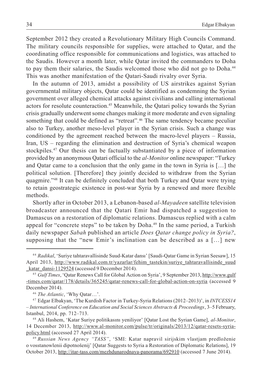September 2012 they created a Revolutionary Military High Councils Command. The military councils responsible for supplies, were attached to Qatar, and the coordinating office responsible for communications and logistics, was attached to the Saudis. However a month later, while Qatar invited the commanders to Doha to pay them their salaries, the Saudis welcomed those who did not go to Doha.44 This was another manifestation of the Qatari-Saudi rivalry over Syria.

In the autumn of 2013, amidst a possibility of US airstrikes against Syrian governmental military objects, Qatar could be identified as condemning the Syrian government over alleged chemical attacks against civilians and calling international actors for resolute counteraction.<sup>45</sup> Meanwhile, the Qatari policy towards the Syrian crisis gradually underwent some changes making it more moderate and even signaling something that could be defined as "retreat".<sup>46</sup> The same tendency became peculiar also to Turkey, another meso-level player in the Syrian crisis. Such a change was conditioned by the agreement reached between the macro-level players  $-$  Russia, Iran,  $US -$  regarding the elimination and destruction of Syria's chemical weapon stockpiles.<sup>47</sup> Our thesis can be factually substantiated by a piece of information provided by an anonymous Qatari official to the al-Monitor online newspaper: Turkey and Qatar came to a conclusion that the only game in the town in Syria is  $[\, \ldots]$  the political solution. [Therefore] they jointly decided to withdraw from the Syrian quagmire.48 It can be definitely concluded that both Turkey and Qatar were trying to retain geostrategic existence in post-war Syria by a renewed and more flexible methods.

Shortly after in October 2013, a Lebanon-based al-Mayadeen satellite television broadcaster announced that the Qatari Emir had dispatched a suggestion to Damascus on a restoration of diplomatic relations. Damascus replied with a calm appeal for "concrete steps" to be taken by Doha. $49$  In the same period, a Turkish daily newspaper Sabah published an article Does Qatar change policy in Syria?, supposing that the "new Emir's inclination can be described as a  $[...]$  new

<sup>&</sup>lt;sup>44</sup> Radikal, 'Suriye tahtaravallisinde Suud-Katar dansı' [Saudi-Qatar Game in Syrian Seesaw], 15 April 2013, http://www.radikal.com.tr/yazarlar/fehim\_tastekin/suriye\_tahtaravallisinde\_suud katar\_dansi-1129524 (accessed 9 December 2014).

<sup>&</sup>lt;sup>45</sup> Gulf Times, 'Qatar Renews Call for Global Action on Syria', 9 September 2013, http://www.gulf -times.com/qatar/178/details/365245/qatar-renews-call-for-global-action-on-syria (accessed 9 December 2014).

<sup>&</sup>lt;sup>46</sup> The Atlantic, 'Why Qatar...'.

<sup>&</sup>lt;sup>47</sup> Edgar Elbakyan, 'The Kurdish Factor in Turkey-Syria Relations (2012–2013)', in *INTCESS14* - International Conference on Education and Social Sciences Abstracts & Proceedings, 3–5 February, Istanbul, 2014, pp. 712-713.

<sup>&</sup>lt;sup>48</sup> Ali Hashem, 'Katar Suriye politikasını yeniliyor' [Qatar Lost the Syrian Game], al-Monitor, 14 December 2013, http://www.al-monitor.com/pulse/tr/originals/2013/12/qatar-resets-syriapolicy.html (accessed 27 April 2014).

<sup>&</sup>lt;sup>49</sup> Russian News Agency "TASS", 'SMI: Katar napravil sirijskim vlastjam predloženie o vosstanowlenii dipotnošenij' [Qatar Suggests to Syria a Restoration of Diplomatic Relations], 19 October 2013, http://itar-tass.com/mezhdunarodnaya-panorama/692910 (accessed 7 June 2014).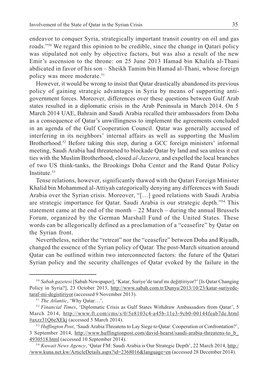endeavor to conquer Syria, strategically important transit country on oil and gas roads.<sup>550</sup> We regard this opinion to be credible, since the change in Qatari policy was stipulated not only by objective factors, but was also a result of the new Emir's ascension to the throne: on 25 June 2013 Hamad bin Khalifa al-Thani abdicated in favor of his son – Sheikh Tamim bin Hamad al-Thani, whose foreign policy was more moderate.<sup>51</sup>

However, it would be wrong to insist that Qatar drastically abandoned its previous policy of gaining strategic advantages in Syria by means of supporting antigovernment forces. Moreover, differences over these questions between Gulf Arab states resulted in a diplomatic crisis in the Arab Peninsula in March 2014. On 5 March 2014 UAE, Bahrain and Saudi Arabia recalled their ambassadors from Doha as a consequence of Qatar's unwillingness to implement the agreements concluded in an agenda of the Gulf Cooperation Council. Qatar was generally accused of interfering in its neighbors' internal affairs as well as supporting the Muslim Brotherhood.<sup>52</sup> Before taking this step, during a GCC foreign ministers' informal meeting, Saudi Arabia had threatened to blockade Qatar by land and sea unless it cut ties with the Muslim Brotherhood, closed al-Jazeera, and expelled the local branches of two US think-tanks, the Brookings Doha Center and the Rand Qatar Policy Institute.<sup>53</sup>

Tense relations, however, significantly thawed with the Qatari Foreign Minister Khalid bin Mohammed al-Attiyah categorically denying any differences with Saudi Arabia over the Syrian crisis. Moreover, "[...] good relations with Saudi Arabia are strategic importance for Qatar. Saudi Arabia is our strategic depth."<sup>54</sup> This statement came at the end of the month  $-22$  March  $-$  during the annual Brussels Forum, organized by the German Marshall Fund of the United States. These words can be allegorically defined as a proclamation of a "ceasefire" by Qatar on the Syrian front.

Nevertheless, neither the "retreat" nor the "ceasefire" between Doha and Riyadh, changed the essence of the Syrian policy of Qatar. The post-March situation around Qatar can be outlined within two interconnected factors: the future of the Qatari Syrian policy and the security challenges of Qatar evoked by the failure in the

<sup>&</sup>lt;sup>50</sup> Sabah gazetesi [Sabah Newspaper], 'Katar, Suriye'de taraf my değittiriyor?' [Is Qatar Changing Policy in Syria?], 23 October 2013, http://www.sabah.com.tr/Dunya/2013/10/23/katar-suriyedetaraf-mi-degistiriyor (accessed 9 November 2013).

<sup>&</sup>lt;sup>51</sup> The Atlantic, 'Why Qatar...'.

 $52$  Financial Times, 'Diplomatic Crisis as Gulf States Withdraw Ambassadors from Qatar', 5 March 2014, http://www.ft.com/cms/s/0/5e8103c4-a45b-11e3-9cb0-00144feab7de.html #axzz31Q6eXEkj (accessed 5 March 2014).

<sup>&</sup>lt;sup>53</sup> Huffington Post, 'Saudi Arabia Threatens to Lay Siege to Oatar: Cooperation or Confrontation?', 3 September 2014, http://www.huffingtonpost.com/david-hearst/saudi-arabia-threatens-to\_b\_ 4930518.html (accessed 10 September 2014).

<sup>&</sup>lt;sup>54</sup> Kuwait News Agency, 'Qatar FM: Saudi Arabia is Our Strategic Depth', 22 March 2014, http:/ /www.kuna.net.kw/ArticleDetails.aspx?id=2368016&language=en (accessed 28 December 2014).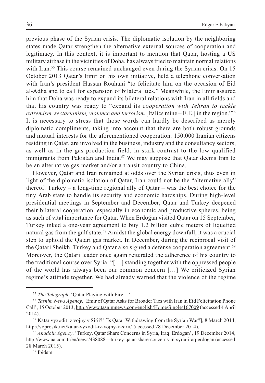previous phase of the Syrian crisis. The diplomatic isolation by the neighboring states made Qatar strengthen the alternative external sources of cooperation and legitimacy. In this context, it is important to mention that Qatar, hosting a US military airbase in the vicinities of Doha, has always tried to maintain normal relations with Iran.<sup>55</sup> This course remained unchanged even during the Syrian crisis. On 15 October 2013 Qatar's Emir on his own initiative, held a telephone conversation with Iran's president Hassan Rouhani "to felicitate him on the occasion of Eid al-Adha and to call for expansion of bilateral ties." Meanwhile, the Emir assured him that Doha was ready to expand its bilateral relations with Iran in all fields and that his country was ready to "expand its cooperation with Tehran to tackle extremism, sectarianism, violence and terrorism [Italics mine  $-$  E.E.] in the region."<sup>56</sup> It is necessary to stress that those words can hardly be described as merely diplomatic compliments, taking into account that there are both robust grounds and mutual interests for the aforementioned cooperation. 150,000 Iranian citizens residing in Qatar, are involved in the business, industry and the consultancy sectors, as well as in the gas production field, in stark contrast to the low qualified immigrants from Pakistan and India.<sup>57</sup> We may suppose that Qatar deems Iran to be an alternative gas market and/or a transit country to China.

However, Qatar and Iran remained at odds over the Syrian crisis, thus even in light of the diplomatic isolation of Qatar, Iran could not be the "alternative ally" thereof. Turkey  $-$  a long-time regional ally of Oatar  $-$  was the best choice for the tiny Arab state to handle its security and economic hardships. During high-level presidential meetings in September and December, Qatar and Turkey deepened their bilateral cooperation, especially in economic and productive spheres, being as such of vital importance for Qatar. When Erdoğan visited Qatar on 15 September, Turkey inked a one-year agreement to buy 1.2 billion cubic meters of liquefied natural gas from the gulf state.<sup>58</sup> Amidst the global energy downfall, it was a crucial step to uphold the Qatari gas market. In December, during the reciprocal visit of the Qatari Sheikh, Turkey and Qatar also signed a defense cooperation agreement.59 Moreover, the Qatari leader once again reiterated the adherence of his country to the traditional course over Syria: "[...] standing together with the oppressed people of the world has always been our common concern  $[\dots]$  We criticized Syrian regime's attitude together. We had already warned that the violence of the regime

<sup>&</sup>lt;sup>55</sup> The Telegraph, 'Qatar Playing with Fire...'.

<sup>&</sup>lt;sup>56</sup> Tasnim News Agency, 'Emir of Qatar Asks for Broader Ties with Iran in Eid Felicitation Phone Call', 15 October 2013, http://www.tasnimnews.com/english/Home/Single/167009 (accessed 4 April 2014).

<sup>&</sup>lt;sup>57</sup> Katar vyxodit iz vojny v Sirii?' [Is Qatar Withdrawing from the Syrian War?], 8 March 2014, http://voprosik.net/katar-vyxodit-iz-vojny-v-sirii/ (accessed 28 December 2014).

<sup>&</sup>lt;sup>58</sup> Anadolu Agency, 'Turkey, Qatar Share Concerns in Syria, Iraq: Erdogan', 19 December 2014, http://www.aa.com.tr/en/news/438088—turkey-qatar-share-concerns-in-syria-iraq-erdogan (accessed 28 March 2015).

<sup>&</sup>lt;sup>59</sup> Ibidem.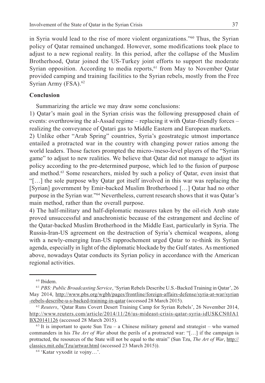in Syria would lead to the rise of more violent organizations.<sup>760</sup> Thus, the Syrian policy of Qatar remained unchanged. However, some modifications took place to adjust to a new regional reality. In this period, after the collapse of the Muslim Brotherhood, Qatar joined the US-Turkey joint efforts to support the moderate Syrian opposition. According to media reports,<sup>61</sup> from May to November Qatar provided camping and training facilities to the Syrian rebels, mostly from the Free Syrian Army (FSA).<sup>62</sup>

## Conclusion

Summarizing the article we may draw some conclusions:

1) Qatar's main goal in the Syrian crisis was the following presupposed chain of events: overthrowing the al-Assad regime  $-$  replacing it with Qatar-friendly forces  $$ realizing the conveyance of Qatari gas to Middle Eastern and European markets.

2) Unlike other "Arab Spring" countries, Syria's geostrategic utmost importance entailed a protracted war in the country with changing power ratios among the world leaders. Those factors prompted the micro-/meso-level players of the "Syrian" game" to adjust to new realities. We believe that Qatar did not manage to adjust its policy according to the pre-determined purpose, which led to the fusion of purpose and method.63 Some researchers, misled by such a policy of Qatar, even insist that "[ $\ldots$ ] the sole purpose why Qatar got itself involved in this war was replacing the [Syrian] government by Emir-backed Muslim Brotherhood [...] Qatar had no other purpose in the Syrian war."<sup>64</sup> Nevertheless, current research shows that it was Qatar's main method, rather than the overall purpose.

4) The half-military and half-diplomatic measures taken by the oil-rich Arab state proved unsuccessful and anachronistic because of the estrangement and decline of the Qatar-backed Muslim Brotherhood in the Middle East, particularly in Syria. The Russia-Iran-US agreement on the destruction of Syria's chemical weapons, along with a newly-emerging Iran-US rapprochement urged Qatar to re-think its Syrian agenda, especially in light of the diplomatic blockade by the Gulf states. As mentioned above, nowadays Qatar conducts its Syrian policy in accordance with the American regional activities.

<sup>&</sup>lt;sup>60</sup> Ibidem.

 $61$  PBS: Public Broadcasting Service, 'Syrian Rebels Describe U.S.-Backed Training in Qatar', 26 May 2014, http://www.pbs.org/wgbh/pages/frontline/foreign-affairs-defense/syria-at-war/syrian -rebels-describe-u-s-backed-training-in-qatar (accessed 28 March 2015).

 $62$  Reuters, 'Qatar Runs Covert Desert Training Camp for Syrian Rebels', 26 November 2014, http://www.reuters.com/article/2014/11/26/us-mideast-crisis-qatar-syria-idUSKCN0JA1 BX20141126 (accessed 28 March 2015).

 $63$  It is important to quote Sun Tzu – a Chinese military general and strategist – who warned commanders in his The Art of War about the perils of a protracted war: "[...] if the campaign is protracted, the resources of the State will not be equal to the strain" (Sun Tzu, The Art of War, http:// classics.mit.edu/Tzu/artwar.html (accessed 23 March 2015)).

 $64$  'Katar vyxodit iz vojny...'.